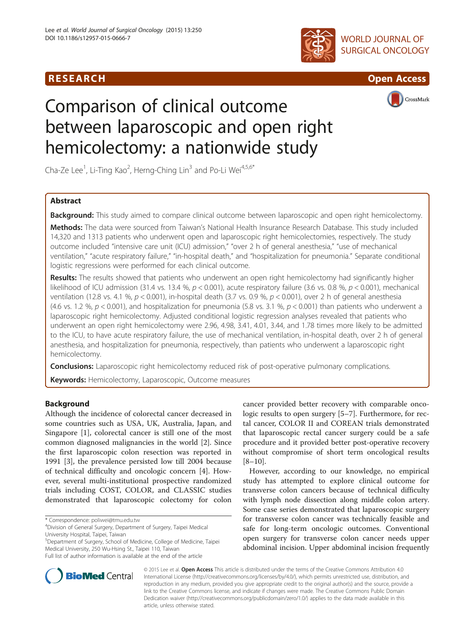# R E S EAR CH Open Access





CrossMark

# Comparison of clinical outcome between laparoscopic and open right hemicolectomy: a nationwide study

Cha-Ze Lee<sup>1</sup>, Li-Ting Kao<sup>2</sup>, Herng-Ching Lin<sup>3</sup> and Po-Li Wei<sup>4,5,6\*</sup>

## Abstract

Background: This study aimed to compare clinical outcome between laparoscopic and open right hemicolectomy.

Methods: The data were sourced from Taiwan's National Health Insurance Research Database. This study included 14,320 and 1313 patients who underwent open and laparoscopic right hemicolectomies, respectively. The study outcome included "intensive care unit (ICU) admission," "over 2 h of general anesthesia," "use of mechanical ventilation," "acute respiratory failure," "in-hospital death," and "hospitalization for pneumonia." Separate conditional logistic regressions were performed for each clinical outcome.

Results: The results showed that patients who underwent an open right hemicolectomy had significantly higher likelihood of ICU admission (31.4 vs. 13.4 %,  $p < 0.001$ ), acute respiratory failure (3.6 vs. 0.8 %,  $p < 0.001$ ), mechanical ventilation (12.8 vs. 4.1 %,  $p < 0.001$ ), in-hospital death (3.7 vs. 0.9 %,  $p < 0.001$ ), over 2 h of general anesthesia (4.6 vs. 1.2 %,  $p < 0.001$ ), and hospitalization for pneumonia (5.8 vs. 3.1 %,  $p < 0.001$ ) than patients who underwent a laparoscopic right hemicolectomy. Adjusted conditional logistic regression analyses revealed that patients who underwent an open right hemicolectomy were 2.96, 4.98, 3.41, 4.01, 3.44, and 1.78 times more likely to be admitted to the ICU, to have acute respiratory failure, the use of mechanical ventilation, in-hospital death, over 2 h of general anesthesia, and hospitalization for pneumonia, respectively, than patients who underwent a laparoscopic right hemicolectomy.

**Conclusions:** Laparoscopic right hemicolectomy reduced risk of post-operative pulmonary complications.

Keywords: Hemicolectomy, Laparoscopic, Outcome measures

## Background

Although the incidence of colorectal cancer decreased in some countries such as USA, UK, Australia, Japan, and Singapore [\[1](#page-6-0)], colorectal cancer is still one of the most common diagnosed malignancies in the world [\[2\]](#page-6-0). Since the first laparoscopic colon resection was reported in 1991 [\[3](#page-6-0)], the prevalence persisted low till 2004 because of technical difficulty and oncologic concern [[4\]](#page-6-0). However, several multi-institutional prospective randomized trials including COST, COLOR, and CLASSIC studies demonstrated that laparoscopic colectomy for colon

5 Department of Surgery, School of Medicine, College of Medicine, Taipei Medical University, 250 Wu-Hsing St., Taipei 110, Taiwan Full list of author information is available at the end of the article

cancer provided better recovery with comparable oncologic results to open surgery [[5](#page-6-0)–[7\]](#page-6-0). Furthermore, for rectal cancer, COLOR II and COREAN trials demonstrated that laparoscopic rectal cancer surgery could be a safe procedure and it provided better post-operative recovery without compromise of short term oncological results [[8](#page-6-0)–[10\]](#page-6-0).

However, according to our knowledge, no empirical study has attempted to explore clinical outcome for transverse colon cancers because of technical difficulty with lymph node dissection along middle colon artery. Some case series demonstrated that laparoscopic surgery for transverse colon cancer was technically feasible and safe for long-term oncologic outcomes. Conventional open surgery for transverse colon cancer needs upper abdominal incision. Upper abdominal incision frequently



© 2015 Lee et al. Open Access This article is distributed under the terms of the Creative Commons Attribution 4.0 International License (http://creativecommons.org/licenses/by/4.0/), which permits unrestricted use, distribution, and reproduction in any medium, provided you give appropriate credit to the original author(s) and the source, provide a link to the Creative Commons license, and indicate if changes were made. The Creative Commons Public Domain Dedication waiver (http://creativecommons.org/publicdomain/zero/1.0/) applies to the data made available in this article, unless otherwise stated.

<sup>\*</sup> Correspondence: [poliwei@tmu.edu.tw](mailto:poliwei@tmu.edu.tw) <sup>4</sup>

<sup>&</sup>lt;sup>4</sup>Division of General Surgery, Department of Surgery, Taipei Medical University Hospital, Taipei, Taiwan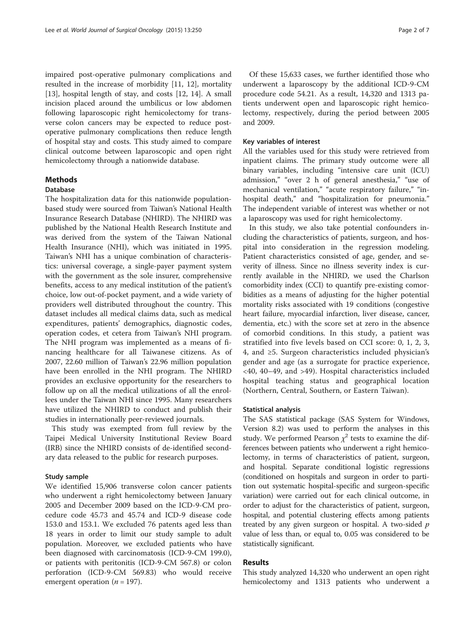impaired post-operative pulmonary complications and resulted in the increase of morbidity [\[11](#page-6-0), [12\]](#page-6-0), mortality [[13\]](#page-6-0), hospital length of stay, and costs [[12](#page-6-0), [14](#page-6-0)]. A small incision placed around the umbilicus or low abdomen following laparoscopic right hemicolectomy for transverse colon cancers may be expected to reduce postoperative pulmonary complications then reduce length of hospital stay and costs. This study aimed to compare clinical outcome between laparoscopic and open right hemicolectomy through a nationwide database.

## Methods

#### Database

The hospitalization data for this nationwide populationbased study were sourced from Taiwan's National Health Insurance Research Database (NHIRD). The NHIRD was published by the National Health Research Institute and was derived from the system of the Taiwan National Health Insurance (NHI), which was initiated in 1995. Taiwan's NHI has a unique combination of characteristics: universal coverage, a single-payer payment system with the government as the sole insurer, comprehensive benefits, access to any medical institution of the patient's choice, low out-of-pocket payment, and a wide variety of providers well distributed throughout the country. This dataset includes all medical claims data, such as medical expenditures, patients' demographics, diagnostic codes, operation codes, et cetera from Taiwan's NHI program. The NHI program was implemented as a means of financing healthcare for all Taiwanese citizens. As of 2007, 22.60 million of Taiwan's 22.96 million population have been enrolled in the NHI program. The NHIRD provides an exclusive opportunity for the researchers to follow up on all the medical utilizations of all the enrollees under the Taiwan NHI since 1995. Many researchers have utilized the NHIRD to conduct and publish their studies in internationally peer-reviewed journals.

This study was exempted from full review by the Taipei Medical University Institutional Review Board (IRB) since the NHIRD consists of de-identified secondary data released to the public for research purposes.

#### Study sample

We identified 15,906 transverse colon cancer patients who underwent a right hemicolectomy between January 2005 and December 2009 based on the ICD-9-CM procedure code 45.73 and 45.74 and ICD-9 disease code 153.0 and 153.1. We excluded 76 patents aged less than 18 years in order to limit our study sample to adult population. Moreover, we excluded patients who have been diagnosed with carcinomatosis (ICD-9-CM 199.0), or patients with peritonitis (ICD-9-CM 567.8) or colon perforation (ICD-9-CM 569.83) who would receive emergent operation ( $n = 197$ ).

Of these 15,633 cases, we further identified those who underwent a laparoscopy by the additional ICD-9-CM procedure code 54.21. As a result, 14,320 and 1313 patients underwent open and laparoscopic right hemicolectomy, respectively, during the period between 2005 and 2009.

#### Key variables of interest

All the variables used for this study were retrieved from inpatient claims. The primary study outcome were all binary variables, including "intensive care unit (ICU) admission," "over 2 h of general anesthesia," "use of mechanical ventilation," "acute respiratory failure," "inhospital death," and "hospitalization for pneumonia." The independent variable of interest was whether or not a laparoscopy was used for right hemicolectomy.

In this study, we also take potential confounders including the characteristics of patients, surgeon, and hospital into consideration in the regression modeling. Patient characteristics consisted of age, gender, and severity of illness. Since no illness severity index is currently available in the NHIRD, we used the Charlson comorbidity index (CCI) to quantify pre-existing comorbidities as a means of adjusting for the higher potential mortality risks associated with 19 conditions (congestive heart failure, myocardial infarction, liver disease, cancer, dementia, etc.) with the score set at zero in the absence of comorbid conditions. In this study, a patient was stratified into five levels based on CCI score: 0, 1, 2, 3, 4, and ≥5. Surgeon characteristics included physician's gender and age (as a surrogate for practice experience, <40, 40–49, and >49). Hospital characteristics included hospital teaching status and geographical location (Northern, Central, Southern, or Eastern Taiwan).

#### Statistical analysis

The SAS statistical package (SAS System for Windows, Version 8.2) was used to perform the analyses in this study. We performed Pearson  $\chi^2$  tests to examine the differences between patients who underwent a right hemicolectomy, in terms of characteristics of patient, surgeon, and hospital. Separate conditional logistic regressions (conditioned on hospitals and surgeon in order to partition out systematic hospital-specific and surgeon-specific variation) were carried out for each clinical outcome, in order to adjust for the characteristics of patient, surgeon, hospital, and potential clustering effects among patients treated by any given surgeon or hospital. A two-sided  $p$ value of less than, or equal to, 0.05 was considered to be statistically significant.

#### Results

This study analyzed 14,320 who underwent an open right hemicolectomy and 1313 patients who underwent a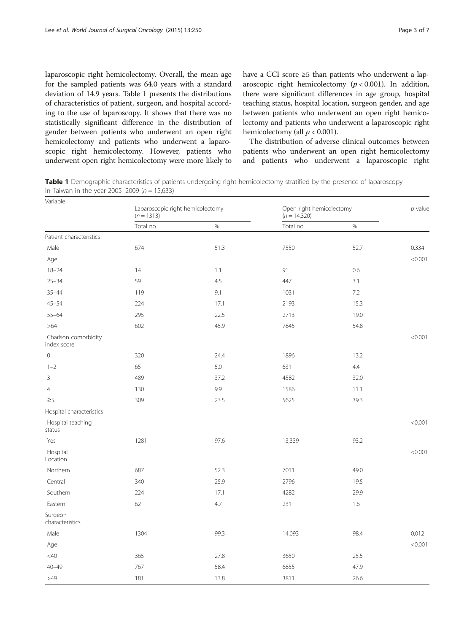laparoscopic right hemicolectomy. Overall, the mean age for the sampled patients was 64.0 years with a standard deviation of 14.9 years. Table 1 presents the distributions of characteristics of patient, surgeon, and hospital according to the use of laparoscopy. It shows that there was no statistically significant difference in the distribution of gender between patients who underwent an open right hemicolectomy and patients who underwent a laparoscopic right hemicolectomy. However, patients who underwent open right hemicolectomy were more likely to

have a CCI score ≥5 than patients who underwent a laparoscopic right hemicolectomy  $(p < 0.001)$ . In addition, there were significant differences in age group, hospital teaching status, hospital location, surgeon gender, and age between patients who underwent an open right hemicolectomy and patients who underwent a laparoscopic right hemicolectomy (all  $p < 0.001$ ).

The distribution of adverse clinical outcomes between patients who underwent an open right hemicolectomy and patients who underwent a laparoscopic right

Table 1 Demographic characteristics of patients undergoing right hemicolectomy stratified by the presence of laparoscopy in Taiwan in the year 2005–2009 ( $n = 15,633$ )

| Variable                            |                                                  |      |                                            |      |           |
|-------------------------------------|--------------------------------------------------|------|--------------------------------------------|------|-----------|
|                                     | Laparoscopic right hemicolectomy<br>$(n = 1313)$ |      | Open right hemicolectomy<br>$(n = 14,320)$ |      | $p$ value |
|                                     | Total no.                                        | $\%$ | Total no.                                  | $\%$ |           |
| Patient characteristics             |                                                  |      |                                            |      |           |
| Male                                | 674                                              | 51.3 | 7550                                       | 52.7 | 0.334     |
| Age                                 |                                                  |      |                                            |      | < 0.001   |
| $18 - 24$                           | 14                                               | 1.1  | 91                                         | 0.6  |           |
| $25 - 34$                           | 59                                               | 4.5  | 447                                        | 3.1  |           |
| $35 - 44$                           | 119                                              | 9.1  | 1031                                       | 7.2  |           |
| $45 - 54$                           | 224                                              | 17.1 | 2193                                       | 15.3 |           |
| $55 - 64$                           | 295                                              | 22.5 | 2713                                       | 19.0 |           |
| $>64$                               | 602                                              | 45.9 | 7845                                       | 54.8 |           |
| Charlson comorbidity<br>index score |                                                  |      |                                            |      | < 0.001   |
| $\mathbf 0$                         | 320                                              | 24.4 | 1896                                       | 13.2 |           |
| $1 - 2$                             | 65                                               | 5.0  | 631                                        | 4.4  |           |
| $\mathsf 3$                         | 489                                              | 37.2 | 4582                                       | 32.0 |           |
| $\overline{4}$                      | 130                                              | 9.9  | 1586                                       | 11.1 |           |
| $\geq$ 5                            | 309                                              | 23.5 | 5625                                       | 39.3 |           |
| Hospital characteristics            |                                                  |      |                                            |      |           |
| Hospital teaching<br>status         |                                                  |      |                                            |      | < 0.001   |
| Yes                                 | 1281                                             | 97.6 | 13,339                                     | 93.2 |           |
| Hospital<br>Location                |                                                  |      |                                            |      | < 0.001   |
| Northern                            | 687                                              | 52.3 | 7011                                       | 49.0 |           |
| Central                             | 340                                              | 25.9 | 2796                                       | 19.5 |           |
| Southern                            | 224                                              | 17.1 | 4282                                       | 29.9 |           |
| Eastern                             | 62                                               | 4.7  | 231                                        | 1.6  |           |
| Surgeon<br>characteristics          |                                                  |      |                                            |      |           |
| Male                                | 1304                                             | 99.3 | 14,093                                     | 98.4 | 0.012     |
| Age                                 |                                                  |      |                                            |      | < 0.001   |
| $<$ 40                              | 365                                              | 27.8 | 3650                                       | 25.5 |           |
| $40 - 49$                           | 767                                              | 58.4 | 6855                                       | 47.9 |           |
| $>49$                               | 181                                              | 13.8 | 3811                                       | 26.6 |           |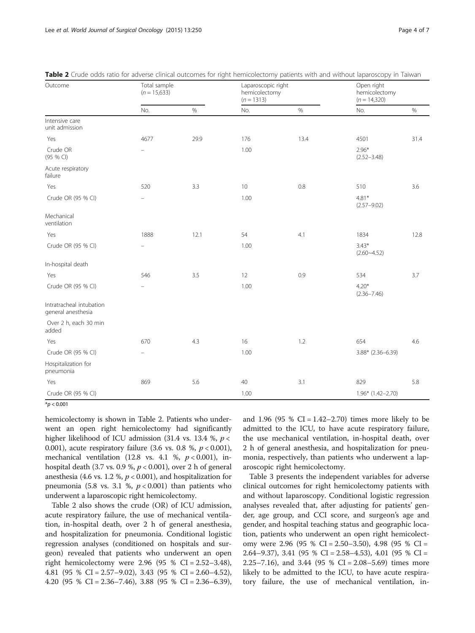| Outcome                                        | erade bads ratio for daverse emplar batebriles for higher nemicolectionly patients with and without laparbscopy in Tannah<br>Total sample<br>$(n = 15,633)$ |      | Laparoscopic right<br>hemicolectomy<br>$(n = 1313)$ |      | Open right<br>hemicolectomy<br>$(n = 14,320)$ |      |
|------------------------------------------------|-------------------------------------------------------------------------------------------------------------------------------------------------------------|------|-----------------------------------------------------|------|-----------------------------------------------|------|
|                                                | No.                                                                                                                                                         | $\%$ | No.                                                 | $\%$ | No.                                           | $\%$ |
| Intensive care<br>unit admission               |                                                                                                                                                             |      |                                                     |      |                                               |      |
| Yes                                            | 4677                                                                                                                                                        | 29.9 | 176                                                 | 13.4 | 4501                                          | 31.4 |
| Crude OR<br>(95 % CI)                          | $\overline{\phantom{0}}$                                                                                                                                    |      | 1.00                                                |      | $2.96*$<br>$(2.52 - 3.48)$                    |      |
| Acute respiratory<br>failure                   |                                                                                                                                                             |      |                                                     |      |                                               |      |
| Yes                                            | 520                                                                                                                                                         | 3.3  | 10                                                  | 0.8  | 510                                           | 3.6  |
| Crude OR (95 % CI)                             |                                                                                                                                                             |      | 1.00                                                |      | $4.81*$<br>$(2.57 - 9.02)$                    |      |
| Mechanical<br>ventilation                      |                                                                                                                                                             |      |                                                     |      |                                               |      |
| Yes                                            | 1888                                                                                                                                                        | 12.1 | 54                                                  | 4.1  | 1834                                          | 12.8 |
| Crude OR (95 % CI)                             |                                                                                                                                                             |      | 1.00                                                |      | $3.43*$<br>$(2.60 - 4.52)$                    |      |
| In-hospital death                              |                                                                                                                                                             |      |                                                     |      |                                               |      |
| Yes                                            | 546                                                                                                                                                         | 3.5  | 12                                                  | 0.9  | 534                                           | 3.7  |
| Crude OR (95 % CI)                             | $\overline{\phantom{0}}$                                                                                                                                    |      | 1.00                                                |      | $4.20*$<br>$(2.36 - 7.46)$                    |      |
| Intratracheal intubation<br>general anesthesia |                                                                                                                                                             |      |                                                     |      |                                               |      |
| Over 2 h, each 30 min<br>added                 |                                                                                                                                                             |      |                                                     |      |                                               |      |
| Yes                                            | 670                                                                                                                                                         | 4.3  | 16                                                  | 1.2  | 654                                           | 4.6  |
| Crude OR (95 % CI)                             | $\equiv$                                                                                                                                                    |      | 1.00                                                |      | $3.88*$ (2.36-6.39)                           |      |
| Hospitalization for<br>pneumonia               |                                                                                                                                                             |      |                                                     |      |                                               |      |
| Yes                                            | 869                                                                                                                                                         | 5.6  | 40                                                  | 3.1  | 829                                           | 5.8  |
| Crude OR (95 % CI)                             |                                                                                                                                                             |      | 1.00                                                |      | 1.96* (1.42-2.70)                             |      |

| Table 2 Crude odds ratio for adverse clinical outcomes for right hemicolectomy patients with and without laparoscopy in Taiwan |
|--------------------------------------------------------------------------------------------------------------------------------|
|--------------------------------------------------------------------------------------------------------------------------------|

 $*$ *p* < 0.001

hemicolectomy is shown in Table 2. Patients who underwent an open right hemicolectomy had significantly higher likelihood of ICU admission (31.4 vs. 13.4 %,  $p <$ 0.001), acute respiratory failure (3.6 vs. 0.8 %,  $p < 0.001$ ), mechanical ventilation (12.8 vs. 4.1 %,  $p < 0.001$ ), inhospital death (3.7 vs. 0.9 %,  $p < 0.001$ ), over 2 h of general anesthesia (4.6 vs. 1.2 %,  $p < 0.001$ ), and hospitalization for pneumonia (5.8 vs. 3.1 %,  $p < 0.001$ ) than patients who underwent a laparoscopic right hemicolectomy.

Table 2 also shows the crude (OR) of ICU admission, acute respiratory failure, the use of mechanical ventilation, in-hospital death, over 2 h of general anesthesia, and hospitalization for pneumonia. Conditional logistic regression analyses (conditioned on hospitals and surgeon) revealed that patients who underwent an open right hemicolectomy were 2.96 (95 % CI =  $2.52-3.48$ ), 4.81 (95 % CI = 2.57–9.02), 3.43 (95 % CI = 2.60–4.52), 4.20 (95 % CI = 2.36–7.46), 3.88 (95 % CI = 2.36–6.39), and 1.96 (95 % CI =  $1.42-2.70$ ) times more likely to be admitted to the ICU, to have acute respiratory failure, the use mechanical ventilation, in-hospital death, over 2 h of general anesthesia, and hospitalization for pneumonia, respectively, than patients who underwent a laparoscopic right hemicolectomy.

Table [3](#page-4-0) presents the independent variables for adverse clinical outcomes for right hemicolectomy patients with and without laparoscopy. Conditional logistic regression analyses revealed that, after adjusting for patients' gender, age group, and CCI score, and surgeon's age and gender, and hospital teaching status and geographic location, patients who underwent an open right hemicolectomy were 2.96 (95 % CI = 2.50–3.50), 4.98 (95 % CI = 2.64–9.37), 3.41 (95 % CI = 2.58–4.53), 4.01 (95 % CI = 2.25–7.16), and 3.44 (95 % CI = 2.08–5.69) times more likely to be admitted to the ICU, to have acute respiratory failure, the use of mechanical ventilation, in-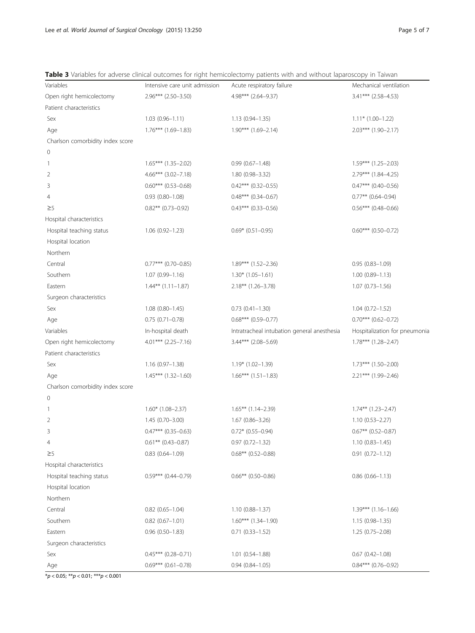|                                  |                               | • vanalies for adverse emmedi batebrites for right nermediectority patients with and without laparbscopy in Tanvari |                               |
|----------------------------------|-------------------------------|---------------------------------------------------------------------------------------------------------------------|-------------------------------|
| Variables                        | Intensive care unit admission | Acute respiratory failure                                                                                           | Mechanical ventilation        |
| Open right hemicolectomy         | $2.96***$ (2.50-3.50)         | 4.98*** (2.64-9.37)                                                                                                 | 3.41*** (2.58-4.53)           |
| Patient characteristics          |                               |                                                                                                                     |                               |
| Sex                              | $1.03(0.96 - 1.11)$           | $1.13(0.94 - 1.35)$                                                                                                 | $1.11*$ (1.00-1.22)           |
| Age                              | $1.76***$ (1.69-1.83)         | $1.90***$ $(1.69-2.14)$                                                                                             | $2.03***$ (1.90-2.17)         |
| Charlson comorbidity index score |                               |                                                                                                                     |                               |
| $\mathsf{O}\xspace$              |                               |                                                                                                                     |                               |
| $\mathbf{1}$                     | $1.65***$ (1.35-2.02)         | $0.99(0.67 - 1.48)$                                                                                                 | $1.59***$ (1.25-2.03)         |
| 2                                | $4.66***$ (3.02-7.18)         | 1.80 (0.98-3.32)                                                                                                    | 2.79*** (1.84-4.25)           |
| 3                                | $0.60***$ (0.53-0.68)         | $0.42***$ (0.32-0.55)                                                                                               | $0.47***$ (0.40-0.56)         |
| 4                                | $0.93(0.80 - 1.08)$           | $0.48***$ (0.34-0.67)                                                                                               | $0.77**$ (0.64-0.94)          |
| $\geq$                           | $0.82***$ (0.73-0.92)         | $0.43***$ (0.33-0.56)                                                                                               | $0.56***$ (0.48-0.66)         |
| Hospital characteristics         |                               |                                                                                                                     |                               |
| Hospital teaching status         | $1.06(0.92 - 1.23)$           | $0.69*$ (0.51-0.95)                                                                                                 | $0.60***$ (0.50-0.72)         |
| Hospital location                |                               |                                                                                                                     |                               |
| Northern                         |                               |                                                                                                                     |                               |
| Central                          | $0.77***$ (0.70-0.85)         | 1.89*** (1.52-2.36)                                                                                                 | $0.95(0.83 - 1.09)$           |
| Southern                         | $1.07(0.99 - 1.16)$           | $1.30*$ (1.05-1.61)                                                                                                 | $1.00(0.89 - 1.13)$           |
| Eastern                          | $1.44***$ $(1.11-1.87)$       | $2.18***$ (1.26-3.78)                                                                                               | $1.07(0.73 - 1.56)$           |
| Surgeon characteristics          |                               |                                                                                                                     |                               |
| Sex                              | $1.08(0.80 - 1.45)$           | $0.73(0.41 - 1.30)$                                                                                                 | $1.04(0.72 - 1.52)$           |
| Age                              | $0.75(0.71 - 0.78)$           | $0.68***$ (0.59-0.77)                                                                                               | $0.70***$ (0.62-0.72)         |
| Variables                        | In-hospital death             | Intratracheal intubation general anesthesia                                                                         | Hospitalization for pneumonia |
| Open right hemicolectomy         | $4.01***$ (2.25-7.16)         | $3.44***$ (2.08-5.69)                                                                                               | $1.78***$ $(1.28-2.47)$       |
| Patient characteristics          |                               |                                                                                                                     |                               |
| Sex                              | $1.16(0.97-1.38)$             | $1.19* (1.02 - 1.39)$                                                                                               | $1.73***$ $(1.50-2.00)$       |
| Age                              | $1.45***$ $(1.32-1.60)$       | $1.66***$ $(1.51-1.83)$                                                                                             | 2.21*** (1.99-2.46)           |
| Charlson comorbidity index score |                               |                                                                                                                     |                               |
| $\mathbf 0$                      |                               |                                                                                                                     |                               |
| 1                                | $1.60*$ (1.08-2.37)           | $1.65***$ (1.14-2.39)                                                                                               | $1.74***$ $(1.23-2.47)$       |
| 2                                | $1.45(0.70 - 3.00)$           | $1.67(0.86 - 3.26)$                                                                                                 | $1.10(0.53 - 2.27)$           |
| 3                                | $0.47***$ (0.35-0.63)         | $0.72*$ (0.55-0.94)                                                                                                 | $0.67**$ (0.52-0.87)          |
| 4                                | $0.61**$ (0.43-0.87)          | $0.97(0.72 - 1.32)$                                                                                                 | $1.10(0.83 - 1.45)$           |
| $\geq$ 5                         | $0.83$ $(0.64 - 1.09)$        | $0.68***$ (0.52-0.88)                                                                                               | $0.91(0.72 - 1.12)$           |
| Hospital characteristics         |                               |                                                                                                                     |                               |
| Hospital teaching status         | $0.59***$ (0.44-0.79)         | $0.66***$ (0.50-0.86)                                                                                               | $0.86(0.66 - 1.13)$           |
| Hospital location                |                               |                                                                                                                     |                               |
| Northern                         |                               |                                                                                                                     |                               |
| Central                          | $0.82$ (0.65-1.04)            | $1.10(0.88 - 1.37)$                                                                                                 | $1.39***$ $(1.16-1.66)$       |
| Southern                         | $0.82$ (0.67-1.01)            | $1.60***$ $(1.34-1.90)$                                                                                             | $1.15(0.98 - 1.35)$           |
| Eastern                          | $0.96(0.50 - 1.83)$           | $0.71(0.33 - 1.52)$                                                                                                 | 1.25 (0.75-2.08)              |
| Surgeon characteristics          |                               |                                                                                                                     |                               |
| Sex                              | $0.45***$ (0.28-0.71)         | $1.01$ $(0.54 - 1.88)$                                                                                              | $0.67$ $(0.42 - 1.08)$        |
| Age                              | $0.69***$ (0.61-0.78)         | $0.94(0.84 - 1.05)$                                                                                                 | $0.84***$ (0.76-0.92)         |

<span id="page-4-0"></span>Table 3 Variables for adverse clinical outcomes for right hemicolectomy patients with and without laparoscopy in Taiwan

\*p < 0.05; \*\*p < 0.01; \*\*\*p < 0.001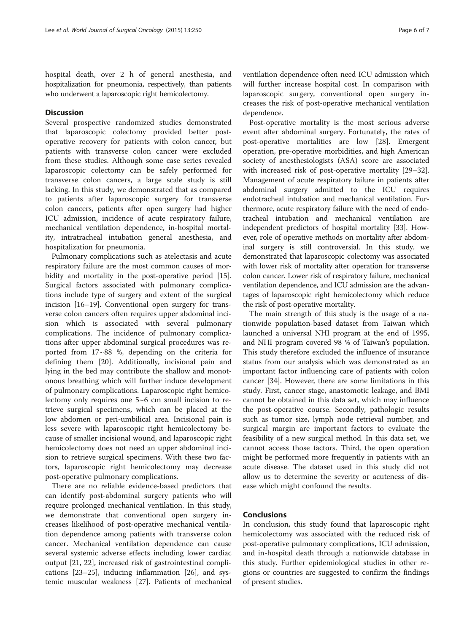hospital death, over 2 h of general anesthesia, and hospitalization for pneumonia, respectively, than patients who underwent a laparoscopic right hemicolectomy.

# Discussion

Several prospective randomized studies demonstrated that laparoscopic colectomy provided better postoperative recovery for patients with colon cancer, but patients with transverse colon cancer were excluded from these studies. Although some case series revealed laparoscopic colectomy can be safely performed for transverse colon cancers, a large scale study is still lacking. In this study, we demonstrated that as compared to patients after laparoscopic surgery for transverse colon cancers, patients after open surgery had higher ICU admission, incidence of acute respiratory failure, mechanical ventilation dependence, in-hospital mortality, intratracheal intubation general anesthesia, and hospitalization for pneumonia.

Pulmonary complications such as atelectasis and acute respiratory failure are the most common causes of morbidity and mortality in the post-operative period [\[15](#page-6-0)]. Surgical factors associated with pulmonary complications include type of surgery and extent of the surgical incision [\[16](#page-6-0)–[19\]](#page-6-0). Conventional open surgery for transverse colon cancers often requires upper abdominal incision which is associated with several pulmonary complications. The incidence of pulmonary complications after upper abdominal surgical procedures was reported from 17~88 %, depending on the criteria for defining them [[20](#page-6-0)]. Additionally, incisional pain and lying in the bed may contribute the shallow and monotonous breathing which will further induce development of pulmonary complications. Laparoscopic right hemicolectomy only requires one 5~6 cm small incision to retrieve surgical specimens, which can be placed at the low abdomen or peri-umbilical area. Incisional pain is less severe with laparoscopic right hemicolectomy because of smaller incisional wound, and laparoscopic right hemicolectomy does not need an upper abdominal incision to retrieve surgical specimens. With these two factors, laparoscopic right hemicolectomy may decrease post-operative pulmonary complications.

There are no reliable evidence-based predictors that can identify post-abdominal surgery patients who will require prolonged mechanical ventilation. In this study, we demonstrate that conventional open surgery increases likelihood of post-operative mechanical ventilation dependence among patients with transverse colon cancer. Mechanical ventilation dependence can cause several systemic adverse effects including lower cardiac output [\[21, 22\]](#page-6-0), increased risk of gastrointestinal complications [[23](#page-6-0)–[25\]](#page-6-0), inducing inflammation [\[26](#page-6-0)], and systemic muscular weakness [\[27](#page-6-0)]. Patients of mechanical ventilation dependence often need ICU admission which will further increase hospital cost. In comparison with laparoscopic surgery, conventional open surgery increases the risk of post-operative mechanical ventilation dependence.

Post-operative mortality is the most serious adverse event after abdominal surgery. Fortunately, the rates of post-operative mortalities are low [\[28](#page-6-0)]. Emergent operation, pre-operative morbidities, and high American society of anesthesiologists (ASA) score are associated with increased risk of post-operative mortality [[29](#page-6-0)–[32](#page-6-0)]. Management of acute respiratory failure in patients after abdominal surgery admitted to the ICU requires endotracheal intubation and mechanical ventilation. Furthermore, acute respiratory failure with the need of endotracheal intubation and mechanical ventilation are independent predictors of hospital mortality [\[33](#page-6-0)]. However, role of operative methods on mortality after abdominal surgery is still controversial. In this study, we demonstrated that laparoscopic colectomy was associated with lower risk of mortality after operation for transverse colon cancer. Lower risk of respiratory failure, mechanical ventilation dependence, and ICU admission are the advantages of laparoscopic right hemicolectomy which reduce the risk of post-operative mortality.

The main strength of this study is the usage of a nationwide population-based dataset from Taiwan which launched a universal NHI program at the end of 1995, and NHI program covered 98 % of Taiwan's population. This study therefore excluded the influence of insurance status from our analysis which was demonstrated as an important factor influencing care of patients with colon cancer [\[34](#page-6-0)]. However, there are some limitations in this study. First, cancer stage, anastomotic leakage, and BMI cannot be obtained in this data set, which may influence the post-operative course. Secondly, pathologic results such as tumor size, lymph node retrieval number, and surgical margin are important factors to evaluate the feasibility of a new surgical method. In this data set, we cannot access those factors. Third, the open operation might be performed more frequently in patients with an acute disease. The dataset used in this study did not allow us to determine the severity or acuteness of disease which might confound the results.

## Conclusions

In conclusion, this study found that laparoscopic right hemicolectomy was associated with the reduced risk of post-operative pulmonary complications, ICU admission, and in-hospital death through a nationwide database in this study. Further epidemiological studies in other regions or countries are suggested to confirm the findings of present studies.